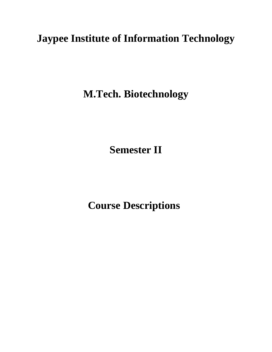# **Jaypee Institute of Information Technology**

**M.Tech. Biotechnology**

**Semester II**

 **Course Descriptions**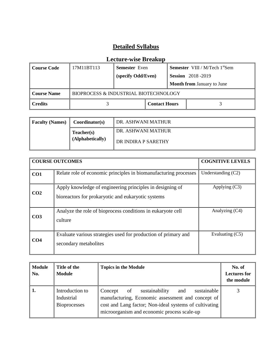| Course Code | 17M11BT113 | <b>Semester</b> Even                  |                      | <b>Semester</b> VIII / M/Tech $1^{\text{st}}$ Sem |                                   |
|-------------|------------|---------------------------------------|----------------------|---------------------------------------------------|-----------------------------------|
|             |            | (specify Odd/Even)                    |                      |                                                   | <b>Session</b> 2018-2019          |
|             |            |                                       |                      |                                                   | <b>Month from January to June</b> |
| Course Name |            | BIOPROCESS & INDUSTRIAL BIOTECHNOLOGY |                      |                                                   |                                   |
| Credits     |            |                                       | <b>Contact Hours</b> |                                                   |                                   |

| <b>Faculty (Names)</b> | Coordinator(s)                 | ∥ DR. ASHWANI MATHUR                      |
|------------------------|--------------------------------|-------------------------------------------|
|                        | Teacher(s)<br>(Alphabetically) | DR. ASHWANI MATHUR<br>DR INDIRA P SARETHY |
|                        |                                |                                           |

|                 | <b>COURSE OUTCOMES</b>                                                                                          | <b>COGNITIVE LEVELS</b> |
|-----------------|-----------------------------------------------------------------------------------------------------------------|-------------------------|
| CO1             | Relate role of economic principles in biomanufacturing processes                                                | Understanding $(C2)$    |
| CO <sub>2</sub> | Apply knowledge of engineering principles in designing of<br>bioreactors for prokaryotic and eukaryotic systems | Applying $(C3)$         |
| CO <sub>3</sub> | Analyze the role of bioprocess conditions in eukaryote cell<br>culture                                          | Analyzing (C4)          |
| CO <sub>4</sub> | Evaluate various strategies used for production of primary and<br>secondary metabolites                         | Evaluating (C5)         |

| <b>Module</b><br>No. | Title of the<br><b>Module</b>                        | <b>Topics in the Module</b>                                                                                                                                                                                         | No. of<br><b>Lectures</b> for<br>the module |
|----------------------|------------------------------------------------------|---------------------------------------------------------------------------------------------------------------------------------------------------------------------------------------------------------------------|---------------------------------------------|
|                      | Introduction to<br>Industrial<br><b>Bioprocesses</b> | sustainable<br>sustainability<br>of<br>Concept<br>and<br>manufacturing, Economic assessment and concept of<br>cost and Lang factor; Non-ideal systems of cultivating<br>microorganism and economic process scale-up |                                             |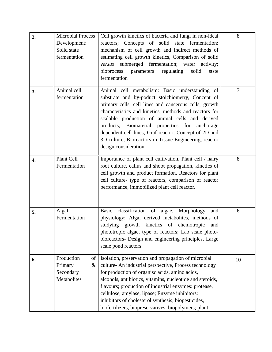| 2. | <b>Microbial Process</b><br>Development:<br>Solid state<br>fermentation | Cell growth kinetics of bacteria and fungi in non-ideal<br>reactors; Concepts of solid state fermentation;<br>mechanism of cell growth and indirect methods of<br>estimating cell growth kinetics, Comparison of solid<br>submerged fermentation; water<br>activity;<br>versus<br>bioprocess parameters<br>regulating<br>solid<br>stste<br>fermentation                                                                                                                | 8              |
|----|-------------------------------------------------------------------------|------------------------------------------------------------------------------------------------------------------------------------------------------------------------------------------------------------------------------------------------------------------------------------------------------------------------------------------------------------------------------------------------------------------------------------------------------------------------|----------------|
| 3. | Animal cell<br>fermentation                                             | Animal cell metabolism: Basic understanding of<br>substrate and by-poduct stoichiometry, Concept of<br>primary cells, cell lines and cancerous cells; growth<br>characteristics and kinetics, methods and reactors for<br>scalable production of animal cells and derived<br>products; Biomaterial properties for anchorage<br>dependent cell lines; Graf reactor; Concept of 2D and<br>3D culture, Bioreactors in Tissue Engineering, reactor<br>design consideration | $\overline{7}$ |
| 4. | Plant Cell<br>Fermentation                                              | Importance of plant cell cultivation, Plant cell / hairy<br>root culture, callus and shoot propagation, kinetics of<br>cell growth and product formation, Reactors for plant<br>cell culture- type of reactors, comparison of reactor<br>performance, immobilized plant cell reactor.                                                                                                                                                                                  | 8              |
| 5. | Algal<br>Fermentation                                                   | classification of algae,<br>Morphology<br>Basic<br>and<br>physiology; Algal derived metabolites, methods of<br>studying growth kinetics of chemotropic and<br>phototropic algae, type of reactors; Lab scale photo-<br>bioreactors- Design and engineering principles, Large<br>scale pond reactors                                                                                                                                                                    | 6              |
| 6. | Production<br>of<br>Primary<br>$\&$<br>Secondary<br>Metabolites         | Isolation, preservation and propagation of microbial<br>culture- An industrial perspective, Process technology<br>for production of organisc acids, amino acids,<br>alcohols, antibiotics, vitamins, nucleotide and steroids,<br>flavours; production of industrial enzymes: protease,<br>cellulose, amylase, lipase; Enzyme inhibitors:<br>inhibitors of cholesterol synthesis; biopesticides,<br>biofertilizers, biopreservatives; biopolymers; plant                | 10             |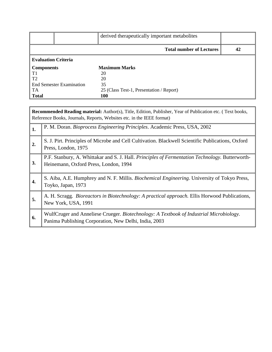|                                 | derived therapeutically important metabolites |    |
|---------------------------------|-----------------------------------------------|----|
|                                 | <b>Total number of Lectures</b>               | 42 |
| <b>Evaluation Criteria</b>      |                                               |    |
| Components                      | <b>Maximum Marks</b>                          |    |
| T1                              | 20                                            |    |
| $\overline{12}$                 | 20                                            |    |
| <b>End Semester Examination</b> | 35                                            |    |
| TA                              | 25 (Class Test-1, Presentation / Report)      |    |
| Total                           | 100                                           |    |

|                  | <b>Recommended Reading material:</b> Author(s), Title, Edition, Publisher, Year of Publication etc. (Text books,<br>Reference Books, Journals, Reports, Websites etc. in the IEEE format) |  |  |  |
|------------------|-------------------------------------------------------------------------------------------------------------------------------------------------------------------------------------------|--|--|--|
| 1.               | P. M. Doran. Bioprocess Engineering Principles. Academic Press, USA, 2002                                                                                                                 |  |  |  |
| $\overline{2}$ . | S. J. Pirt. Principles of Microbe and Cell Cultivation. Blackwell Scientific Publications, Oxford<br>Press, London, 1975                                                                  |  |  |  |
| 3.               | P.F. Stanbury, A. Whittakar and S. J. Hall. Principles of Fermentation Technology. Butterworth-<br>Heinemann, Oxford Press, London, 1994                                                  |  |  |  |
| 4.               | S. Aiba, A.E. Humphrey and N. F. Millis. Biochemical Engineering. University of Tokyo Press,<br>Toyko, Japan, 1973                                                                        |  |  |  |
| 5.               | A. H. Scragg. <i>Bioreactors in Biotechnology: A practical approach</i> . Ellis Horwood Publications,<br>New York, USA, 1991                                                              |  |  |  |
| 6.               | WulfCruger and Anneliese Crueger. Biotechnology: A Textbook of Industrial Microbiology.<br>Panima Publishing Corporation, New Delhi, India, 2003                                          |  |  |  |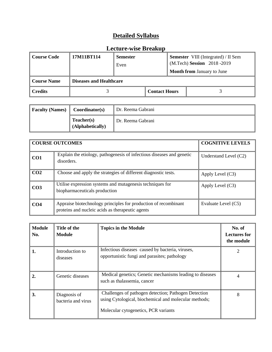| <b>Course Code</b> | 17M11BT114                     | <b>Semester</b><br>Even |  |  | <b>Semester</b> VIII (Integrated) / II Sem<br>(M.Tech) Session 2018-2019 |
|--------------------|--------------------------------|-------------------------|--|--|--------------------------------------------------------------------------|
|                    |                                |                         |  |  | <b>Month from January to June</b>                                        |
| <b>Course Name</b> | <b>Diseases and Healthcare</b> |                         |  |  |                                                                          |
| <b>Credits</b>     |                                | <b>Contact Hours</b>    |  |  |                                                                          |

| <b>Faculty (Names)</b> | Coordinator(s)                 | Dr. Reema Gabrani |
|------------------------|--------------------------------|-------------------|
|                        | Teacher(s)<br>(Alphabetically) | Dr. Reema Gabrani |

|                 | <b>COURSE OUTCOMES</b>                                                                                              | <b>COGNITIVE LEVELS</b> |
|-----------------|---------------------------------------------------------------------------------------------------------------------|-------------------------|
| CO <sub>1</sub> | Explain the etiology, pathogenesis of infectious diseases and genetic<br>disorders.                                 | Understand Level $(C2)$ |
| CO <sub>2</sub> | Choose and apply the strategies of different diagnostic tests.                                                      | Apply Level $(C3)$      |
| CO <sub>3</sub> | Utilise expression systems and mutagenesis techniques for<br>biopharmaceuticals production                          | Apply Level $(C3)$      |
| CO <sub>4</sub> | Appraise biotechnology principles for production of recombinant<br>proteins and nucleic acids as therapeutic agents | Evaluate Level (C5)     |

| <b>Module</b><br>No. | Title of the<br>Module             | <b>Topics in the Module</b>                                                                                                                           | No. of<br><b>Lectures for</b><br>the module |
|----------------------|------------------------------------|-------------------------------------------------------------------------------------------------------------------------------------------------------|---------------------------------------------|
| 1.                   | Introduction to<br>diseases        | Infectious diseases caused by bacteria, viruses,<br>opportunistic fungi and parasites; pathology                                                      |                                             |
| $\overline{2}$ .     | Genetic diseases                   | Medical genetics; Genetic mechanisms leading to diseases<br>such as thalassemia, cancer                                                               |                                             |
| <sup>3.</sup>        | Diagnosis of<br>bacteria and virus | Challenges of pathogen detection; Pathogen Detection<br>using Cytological, biochemical and molecular methods;<br>Molecular cytogenetics, PCR variants | 8                                           |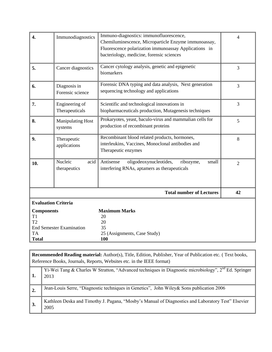| $\overline{4}$ .                                                                   | Immunodiagnostics                   | Immuno-diagnostics: immunofluorescence,<br>Chemiluminescence, Microparticle Enzyme immunoassay,<br>Fluorescence polarization immunoassay Applications in<br>bacteriology, medicine, forensic sciences | $\overline{4}$ |
|------------------------------------------------------------------------------------|-------------------------------------|-------------------------------------------------------------------------------------------------------------------------------------------------------------------------------------------------------|----------------|
| 5.                                                                                 | Cancer diagnostics                  | Cancer cytology analysis, genetic and epigenetic<br>biomarkers                                                                                                                                        | 3              |
| 6.                                                                                 | Diagnosis in<br>Forensic science    | Forensic DNA typing and data analysis, Next generation<br>sequencing technology and applications                                                                                                      | 3              |
| 7.                                                                                 | Engineering of<br>Therapeuticals    | Scientific and technological innovations in<br>biopharmaceuticals production, Mutagenesis techniques                                                                                                  | 3              |
| 8.                                                                                 | <b>Manipulating Host</b><br>systems | Prokaryotes, yeast, baculo-virus and mammalian cells for<br>production of recombinant proteins                                                                                                        | 5              |
| 9.                                                                                 | Therapeutic<br>applications         | Recombinant blood related products, hormones,<br>interleukins, Vaccines, Monoclonal antibodies and<br>Therapeutic enzymes                                                                             | 8              |
| 10.                                                                                | Nucleic<br>acid<br>therapeutics     | Antisense<br>oligodeoxynucleotides,<br>ribozyme,<br>small<br>interfering RNAs, aptamers as therapeuticals                                                                                             | $\overline{2}$ |
|                                                                                    |                                     | <b>Total number of Lectures</b>                                                                                                                                                                       | 42             |
|                                                                                    | <b>Evaluation Criteria</b>          |                                                                                                                                                                                                       |                |
| <b>Components</b><br>T <sub>1</sub><br>T <sub>2</sub><br><b>TA</b><br><b>Total</b> | <b>End Semester Examination</b>     | <b>Maximum Marks</b><br>20<br>20<br>35<br>25 (Assignments, Case Study)<br>100                                                                                                                         |                |

|                  | <b>Recommended Reading material:</b> Author(s), Title, Edition, Publisher, Year of Publication etc. (Text books,<br>Reference Books, Journals, Reports, Websites etc. in the IEEE format) |
|------------------|-------------------------------------------------------------------------------------------------------------------------------------------------------------------------------------------|
| 1.               | Yi-Wei Tang & Charles W Stratton, "Advanced techniques in Diagnostic microbiology", $2^{nd}$ Ed. Springer<br>2013                                                                         |
| $\overline{2}$ . | Jean-Louis Serre, "Diagnostic techniques in Genetics", John Wiley & Sons publication 2006                                                                                                 |
| 3.               | Kathleen Deska and Timothy J. Pagana, "Mosby's Manual of Diagnostics and Laboratory Test" Elsevier<br>2005                                                                                |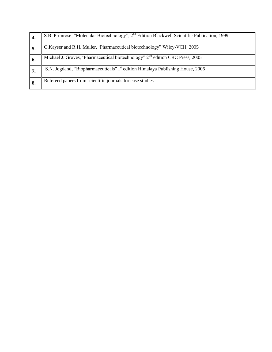| 4.  | S.B. Primrose, "Molecular Biotechnology", 2 <sup>nd</sup> Edition Blackwell Scientific Publication, 1999 |
|-----|----------------------------------------------------------------------------------------------------------|
|     | O.Kayser and R.H. Muller, 'Pharmaceutical biotechnology' Wiley-VCH, 2005                                 |
| -6. | Michael J. Groves, 'Pharmaceutical biotechnology' 2 <sup>nd</sup> edition CRC Press, 2005                |
|     | S.N. Jogdand, "Biopharmaceuticals" I <sup>st</sup> edition Himalaya Publishing House, 2006               |
| 8.  | Refereed papers from scientific journals for case studies                                                |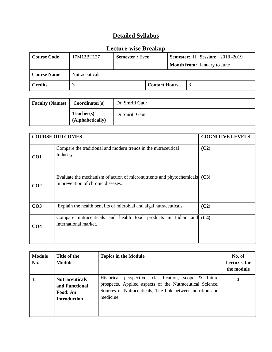| <b>Course Code</b>                          | 17M12BT127 | <b>Semester</b> : Even |  |                                    | Semester: II Session: 2018 -2019 |
|---------------------------------------------|------------|------------------------|--|------------------------------------|----------------------------------|
|                                             |            |                        |  | <b>Month from:</b> January to June |                                  |
| <b>Nutraceuticals</b><br><b>Course Name</b> |            |                        |  |                                    |                                  |
| <b>Credits</b><br><b>Contact Hours</b>      |            |                        |  |                                    |                                  |

| <b>Faculty (Names)</b> | Coordinator(s)                 | Dr. Smriti Gaur |
|------------------------|--------------------------------|-----------------|
|                        | Teacher(s)<br>(Alphabetically) | Dr.Smriti Gaur  |

|                 | <b>COURSE OUTCOMES</b>                                                                                           | <b>COGNITIVE LEVELS</b> |
|-----------------|------------------------------------------------------------------------------------------------------------------|-------------------------|
| CO <sub>1</sub> | Compare the traditional and modern trends in the nutraceutical<br>Industry.                                      | (C2)                    |
| CO <sub>2</sub> | Evaluate the mechanism of action of micronutrients and phytochemicals (C3)<br>in prevention of chronic diseases. |                         |
| CO <sub>3</sub> | Explain the health benefits of microbial and algal nutraceuticals                                                | (C2)                    |
| CO <sub>4</sub> | Compare nutraceuticals and health food products in Indian and<br>international market.                           | (C4)                    |

| <b>Module</b><br>No. | Title of the<br>Module                                                     | <b>Topics in the Module</b>                                                                                                                                                                        | No. of<br><b>Lectures for</b><br>the module |
|----------------------|----------------------------------------------------------------------------|----------------------------------------------------------------------------------------------------------------------------------------------------------------------------------------------------|---------------------------------------------|
|                      | <b>Nutraceuticals</b><br>and Functional<br>Food: An<br><b>Introduction</b> | perspective, classification, scope $\&$ future<br>Historical<br>prospects. Applied aspects of the Nutraceutical Science.<br>Sources of Nutraceuticals, The link between nutrition and<br>medicine. |                                             |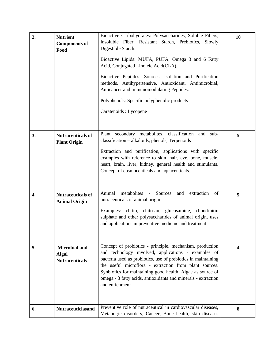| 2. | <b>Nutrient</b><br><b>Components of</b><br>Food               | Bioactive Carbohydrates: Polysaccharides, Soluble Fibers,<br>Insoluble Fiber, Resistant Starch, Prebiotics, Slowly<br>Digestible Starch.<br>Bioactive Lipids: MUFA, PUFA, Omega 3 and 6 Fatty<br>Acid, Conjugated Linoleic Acid(CLA).<br>Bioactive Peptides: Sources, Isolation and Purification                                                                                            | 10 |
|----|---------------------------------------------------------------|---------------------------------------------------------------------------------------------------------------------------------------------------------------------------------------------------------------------------------------------------------------------------------------------------------------------------------------------------------------------------------------------|----|
|    |                                                               | methods. Antihypertensive, Antioxidant, Antimicrobial,<br>Anticancer and immunomodulating Peptides.<br>Polyphenols: Specific polyphenolic products<br>Caratenoids : Lycopene                                                                                                                                                                                                                |    |
| 3. | <b>Nutraceuticals of</b><br><b>Plant Origin</b>               | Plant secondary metabolites, classification<br>and<br>sub-<br>classification - alkaloids, phenols, Terpenoids<br>Extraction and purification, applications with specific<br>examples with reference to skin, hair, eye, bone, muscle,<br>heart, brain, liver, kidney, general health and stimulants.<br>Concept of cosmoceuticals and aquaceuticals.                                        | 5  |
| 4. | <b>Nutraceuticals of</b><br><b>Animal Origin</b>              | metabolites<br>- Sources<br>Animal<br>and<br>extraction<br>of<br>nutraceuticals of animal origin.<br>Examples: chitin, chitosan, glucosamine, chondroitin<br>sulphate and other polysaccharides of animal origin, uses<br>and applications in preventive medicine and treatment                                                                                                             | 5  |
| 5. | <b>Microbial and</b><br><b>Algal</b><br><b>Nutraceuticals</b> | Concept of probiotics - principle, mechanism, production<br>and technology involved, applications - examples of<br>bacteria used as probiotics, use of prebiotics in maintaining<br>the useful microflora - extraction from plant sources.<br>Synbiotics for maintaining good health. Algae as source of<br>omega - 3 fatty acids, antioxidants and minerals - extraction<br>and enrichment | 4  |
| 6. | <b>Nutraceuticlasand</b>                                      | Preventive role of nutraceutical in cardiovascular diseases,<br>Metabol; ic disorders, Cancer, Bone health, skin diseases                                                                                                                                                                                                                                                                   | 8  |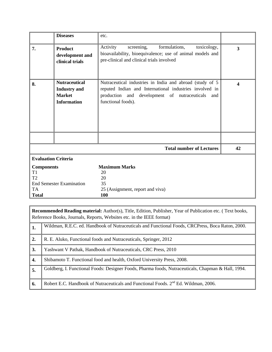|                                                                                                           | <b>Diseases</b>                                                                                                                                                                                                          | etc.                                                                                                                                                                                             |    |  |  |
|-----------------------------------------------------------------------------------------------------------|--------------------------------------------------------------------------------------------------------------------------------------------------------------------------------------------------------------------------|--------------------------------------------------------------------------------------------------------------------------------------------------------------------------------------------------|----|--|--|
| 7.                                                                                                        | Activity<br>formulations,<br>screening,<br>toxicology,<br><b>Product</b><br>bioavailability, bioequivalence; use of animal models and<br>development and<br>pre-clinical and clinical trials involved<br>clinical trials |                                                                                                                                                                                                  |    |  |  |
| 8.                                                                                                        | <b>Nutraceutical</b><br><b>Industry</b> and<br><b>Market</b><br><b>Information</b>                                                                                                                                       | Nutraceutical industries in India and abroad (study of 5<br>reputed Indian and International industries involved in<br>production and development of nutraceuticals<br>and<br>functional foods). | 4  |  |  |
|                                                                                                           |                                                                                                                                                                                                                          | <b>Total number of Lectures</b>                                                                                                                                                                  | 42 |  |  |
| <b>Evaluation Criteria</b>                                                                                |                                                                                                                                                                                                                          |                                                                                                                                                                                                  |    |  |  |
| <b>Components</b><br>T1<br>T <sub>2</sub><br><b>End Semester Examination</b><br><b>TA</b><br><b>Total</b> |                                                                                                                                                                                                                          | <b>Maximum Marks</b><br>20<br>20<br>35<br>25 (Assignment, report and viva)<br>100                                                                                                                |    |  |  |

**Recommended Reading material:** Author(s), Title, Edition, Publisher, Year of Publication etc. ( Text books, Reference Books, Journals, Reports, Websites etc. in the IEEE format)

| 1. | Wildman, R.E.C. ed. Handbook of Nutraceuticals and Functional Foods, CRCPress, Boca Raton, 2000.   |
|----|----------------------------------------------------------------------------------------------------|
| 2. | R. E. Aluko, Functional foods and Nutraceuticals, Springer, 2012                                   |
| 3. | Yashwant V Pathak, Handbook of Nutraceuticals, CRC Press, 2010                                     |
| 4. | Shibamoto T. Functional food and health, Oxford University Press, 2008.                            |
| 5. | Goldberg, I. Functional Foods: Designer Foods, Pharma foods, Nutraceuticals, Chapman & Hall, 1994. |
| 6. | Robert E.C. Handbook of Nutraceuticals and Functional Foods. 2 <sup>nd</sup> Ed. Wildman, 2006.    |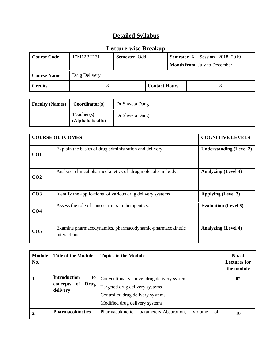| Course Code        | 17M12BT131    | <b>Semester Odd</b>  |  |                                    | <b>Semester X</b> Session 2018-2019 |
|--------------------|---------------|----------------------|--|------------------------------------|-------------------------------------|
|                    |               |                      |  | <b>Month from</b> July to December |                                     |
| <b>Course Name</b> | Drug Delivery |                      |  |                                    |                                     |
| ∥ Credits          |               | <b>Contact Hours</b> |  |                                    |                                     |

| <b>Faculty (Names)</b> | Coordinator(s)                 | Dr Shweta Dang |
|------------------------|--------------------------------|----------------|
|                        | Teacher(s)<br>(Alphabetically) | Dr Shweta Dang |

|                 | <b>COURSE OUTCOMES</b>                                                    | <b>COGNITIVE LEVELS</b>        |
|-----------------|---------------------------------------------------------------------------|--------------------------------|
| CO <sub>1</sub> | Explain the basics of drug administration and delivery                    | <b>Understanding (Level 2)</b> |
| CO <sub>2</sub> | Analyse clinical pharmcokinetics of drug molecules in body.               | <b>Analyzing (Level 4)</b>     |
| CO <sub>3</sub> | Identify the applications of various drug delivery systems                | <b>Applying (Level 3)</b>      |
| CO <sub>4</sub> | Assess the role of nano-carriers in the rapeutics.                        | <b>Evaluation (Level 5)</b>    |
| CO <sub>5</sub> | Examine pharmacodynamics, pharmacodynamic-pharmacokinetic<br>interactions | <b>Analyzing (Level 4)</b>     |

| <b>Module</b><br>No. | <b>Title of the Module</b>                                             | <b>Topics in the Module</b>                                                                                                                         | No. of<br><b>Lectures for</b><br>the module |
|----------------------|------------------------------------------------------------------------|-----------------------------------------------------------------------------------------------------------------------------------------------------|---------------------------------------------|
| 1.                   | <b>Introduction</b><br>to<br><b>Drug</b><br>concepts<br>of<br>delivery | Conventional vs novel drug delivery systems<br>Targeted drug delivery systems<br>Controlled drug delivery systems<br>Modified drug delivery systems | 02                                          |
|                      | <b>Pharmacokinetics</b>                                                | Pharmacokinetic<br>of<br>Volume<br>parameters-Absorption,                                                                                           | 10                                          |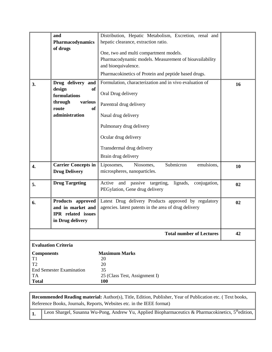|                                                                             | and<br>Pharmacodynamics<br>of drugs                                                                             | Distribution, Hepatic Metabolism, Excretion, renal and<br>hepatic clearance, extraction ratio.<br>One, two and multi compartment models.<br>Pharmacodynamic models. Measurement of bioavailability<br>and bioequivalence.<br>Pharmacokinetics of Protein and peptide based drugs. |    |
|-----------------------------------------------------------------------------|-----------------------------------------------------------------------------------------------------------------|-----------------------------------------------------------------------------------------------------------------------------------------------------------------------------------------------------------------------------------------------------------------------------------|----|
| 3.                                                                          | Drug delivery and<br>design<br><b>of</b><br>formulations<br>through<br>various<br>route<br>of<br>administration | Formulation, characterization and in vivo evaluation of<br>Oral Drug delivery<br>Parentral drug delivery<br>Nasal drug delivery<br>Pulmonary drug delivery<br>Ocular drug delivery<br>Transdermal drug delivery<br>Brain drug delivery                                            | 16 |
| 4.                                                                          | <b>Carrier Concepts in</b><br><b>Drug Delivery</b>                                                              | Submicron<br>emulsions,<br>Liposomes,<br>Niosomes,<br>microspheres, nanoparticles.                                                                                                                                                                                                | 10 |
| 5.                                                                          | <b>Drug Targeting</b>                                                                                           | Active and passive targeting,<br>lignads,<br>conjugation,<br>PEGylation, Gene drug delivery                                                                                                                                                                                       | 02 |
| 6.                                                                          | Products approved<br>and in market and<br>IPR related issues<br>in Drug delivery                                | Latest Drug delivery Products approved by regulatory<br>agencies. latest patents in the area of drug delivery                                                                                                                                                                     | 02 |
|                                                                             |                                                                                                                 | <b>Total number of Lectures</b>                                                                                                                                                                                                                                                   | 42 |
|                                                                             | <b>Evaluation Criteria</b>                                                                                      |                                                                                                                                                                                                                                                                                   |    |
| <b>Components</b><br>T <sub>1</sub><br>T <sub>2</sub><br>TA<br><b>Total</b> | <b>End Semester Examination</b>                                                                                 | <b>Maximum Marks</b><br>20<br>20<br>35<br>25 (Class Test, Assignment I)<br>100                                                                                                                                                                                                    |    |

**Recommended Reading material:** Author(s), Title, Edition, Publisher, Year of Publication etc. ( Text books, Reference Books, Journals, Reports, Websites etc. in the IEEE format)

1. [Leon Shargel,](http://www.mcgraw-hill.co.uk/cgi-bin/same_author.pl?author=Leon+Shargel) [Susanna Wu-Pong,](http://www.mcgraw-hill.co.uk/cgi-bin/same_author.pl?author=Susanna+Wu-Pong) [Andrew Yu,](http://www.mcgraw-hill.co.uk/cgi-bin/same_author.pl?author=Andrew+Yu) Applied Biopharmaceutics & Pharmacokinetics, 5<sup>th</sup>edition,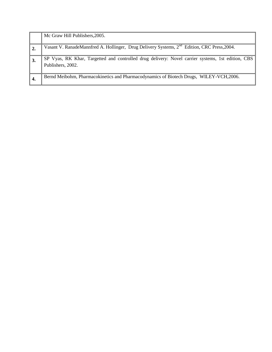|    | Mc Graw Hill Publishers, 2005.                                                                                         |
|----|------------------------------------------------------------------------------------------------------------------------|
|    | Vasant V. RanadeMannfred A. Hollinger, Drug Delivery Systems, 2 <sup>nd</sup> Edition, CRC Press, 2004.                |
|    | SP Vyas, RK Khar, Targetted and controlled drug delivery: Novel carrier systems, 1st edition, CBS<br>Publishers, 2002. |
| 4. | Bernd Meibohm, Pharmacokinetics and Pharmacodynamics of Biotech Drugs, WILEY-VCH, 2006.                                |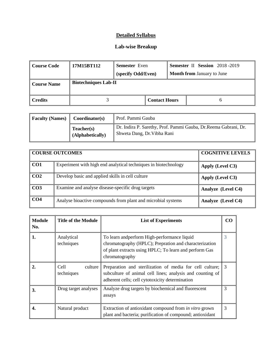#### **Lab-wise Breakup**

| Course Code        | 17M15BT112                  | <b>Semester</b> Even<br>(specify Odd/Even) |                      | <b>Semester II Session</b> 2018-2019<br><b>Month from January to June</b> |
|--------------------|-----------------------------|--------------------------------------------|----------------------|---------------------------------------------------------------------------|
| <b>Course Name</b> | <b>Biotechniques Lab-II</b> |                                            |                      |                                                                           |
| <b>Credits</b>     |                             |                                            | <b>Contact Hours</b> |                                                                           |

| <b>Faculty (Names)</b><br>Coordinator(s) |                                | Prof. Pammi Gauba                                                                               |  |  |
|------------------------------------------|--------------------------------|-------------------------------------------------------------------------------------------------|--|--|
|                                          | Teacher(s)<br>(Alphabetically) | Dr. Indira P. Sarethy, Prof. Pammi Gauba, Dr. Reema Gabrani, Dr.<br>Shweta Dang, Dr. Vibha Rani |  |  |

|                 | <b>COURSE OUTCOMES</b>                                          | <b>COGNITIVE LEVELS</b> |
|-----------------|-----------------------------------------------------------------|-------------------------|
| CO <sub>1</sub> | Experiment with high end analytical techniques in biotechnology | Apply (Level C3)        |
| CO <sub>2</sub> | Develop basic and applied skills in cell culture                | Apply (Level C3)        |
| CO <sub>3</sub> | Examine and analyse disease-specific drug targets               | Analyze (Level C4)      |
| CO <sub>4</sub> | Analyse bioactive compounds from plant and microbial systems    | Analyze (Level C4)      |

| Module<br>No. | <b>Title of the Module</b>     | <b>List of Experiments</b>                                                                                                                                                         |   |
|---------------|--------------------------------|------------------------------------------------------------------------------------------------------------------------------------------------------------------------------------|---|
| 1.            | Analytical<br>techniques       | To learn and perform High-performance liquid<br>chromatography (HPLC); Prepration and characterization<br>of plant extracts using HPLC; To learn and perform Gas<br>chromatography | 3 |
| 2.            | Cell-<br>culture<br>techniques | Preparation and sterilization of media for cell culture;<br>subculture of animal cell lines; analysis and counting of<br>adherent cells; cell cytotoxicity determination           | 3 |
| 3.            | Drug target analyses           | Analyze drug targets by biochemical and fluorescent<br>assays                                                                                                                      | 3 |
| 4.            | Natural product                | Extraction of antioxidant compound from <i>in vitro</i> grown<br>plant and bacteria; purification of compound; antioxidant                                                         | 3 |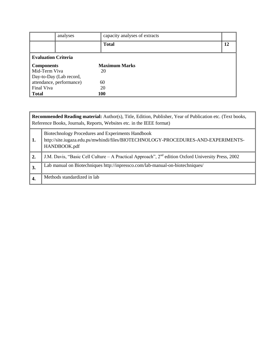|                            | analyses             | capacity analyses of extracts |    |  |  |
|----------------------------|----------------------|-------------------------------|----|--|--|
|                            |                      | <b>Total</b>                  | 12 |  |  |
| <b>Evaluation Criteria</b> |                      |                               |    |  |  |
| Components                 | <b>Maximum Marks</b> |                               |    |  |  |
| Mid-Term Viva              |                      | 20                            |    |  |  |
| Day-to-Day (Lab record,    |                      |                               |    |  |  |
| attendance, performance)   |                      | 60                            |    |  |  |
| Final Viva                 |                      | 20                            |    |  |  |
| <b>Total</b>               |                      | 100                           |    |  |  |

|    | <b>Recommended Reading material:</b> Author(s), Title, Edition, Publisher, Year of Publication etc. (Text books,<br>Reference Books, Journals, Reports, Websites etc. in the IEEE format) |  |  |  |  |
|----|-------------------------------------------------------------------------------------------------------------------------------------------------------------------------------------------|--|--|--|--|
| 1. | Biotechnology Procedures and Experiments Handbook<br>http://site.iugaza.edu.ps/mwhindi/files/BIOTECHNOLOGY-PROCEDURES-AND-EXPERIMENTS-<br>HANDBOOK.pdf                                    |  |  |  |  |
| 2. | J.M. Davis, "Basic Cell Culture – A Practical Approach", 2 <sup>nd</sup> edition Oxford University Press, 2002                                                                            |  |  |  |  |
| 3. | Lab manual on Biotechniques http://inpressco.com/lab-manual-on-biotechniques/                                                                                                             |  |  |  |  |
| 4. | Methods standardized in lab                                                                                                                                                               |  |  |  |  |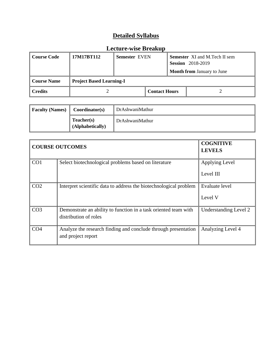| Course Code            | 17M17RT112                      | <b>Semester EVEN</b> |  |                      | <b>Semester</b> XI and M.Tech II sem<br><b>Session</b> 2018-2019 |
|------------------------|---------------------------------|----------------------|--|----------------------|------------------------------------------------------------------|
|                        |                                 |                      |  |                      | <b>Month from January to June</b>                                |
| <b>Course Name</b>     | <b>Project Based Learning-I</b> |                      |  |                      |                                                                  |
| $\blacksquare$ Credits |                                 |                      |  | <b>Contact Hours</b> |                                                                  |

| $\parallel$ Faculty (Names) $\parallel$ Coordinator(s) |                                | DrAshwaniMathur |
|--------------------------------------------------------|--------------------------------|-----------------|
|                                                        | Teacher(s)<br>(Alphabetically) | DrAshwaniMathur |

| <b>COURSE OUTCOMES</b> | <b>COGNITIVE</b><br><b>LEVELS</b>                                 |                       |
|------------------------|-------------------------------------------------------------------|-----------------------|
| CO <sub>1</sub>        | Select biotechnological problems based on literature              | Applying Level        |
|                        |                                                                   | Level III             |
| CO <sub>2</sub>        | Interpret scientific data to address the biotechnological problem | <b>Evaluate level</b> |
|                        |                                                                   | Level V               |
| CO <sub>3</sub>        | Demonstrate an ability to function in a task oriented team with   | Understanding Level 2 |
|                        | distribution of roles                                             |                       |
| CO <sub>4</sub>        | Analyze the research finding and conclude through presentation    | Analyzing Level 4     |
|                        | and project report                                                |                       |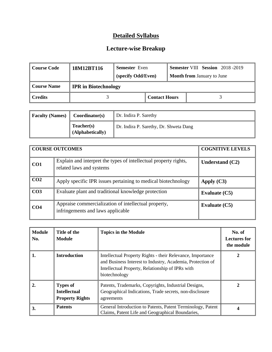| <b>Course Code</b> | 18M12BT116                  | <b>Semester</b> Even<br>(specify Odd/Even) |                      | <b>Semester VIII Session</b> 2018 -2019<br><b>Month from January to June</b> |
|--------------------|-----------------------------|--------------------------------------------|----------------------|------------------------------------------------------------------------------|
| <b>Course Name</b> | <b>IPR</b> in Biotechnology |                                            |                      |                                                                              |
| <b>Credits</b>     |                             |                                            | <b>Contact Hours</b> |                                                                              |

| <b>Faculty (Names)</b> | Coordinator(s)                 | Dr. Indira P. Sarethy                  |
|------------------------|--------------------------------|----------------------------------------|
|                        | Teacher(s)<br>(Alphabetically) | Dr. Indira P. Sarethy, Dr. Shweta Dang |

|                 | <b>COURSE OUTCOMES</b>                                                                       | <b>COGNITIVE LEVELS</b> |
|-----------------|----------------------------------------------------------------------------------------------|-------------------------|
| CO <sub>1</sub> | Explain and interpret the types of intellectual property rights,<br>related laws and systems | Understand $(C2)$       |
| CO <sub>2</sub> | Apply specific IPR issues pertaining to medical biotechnology                                | Apply $(C3)$            |
| CO <sub>3</sub> | Evaluate plant and traditional knowledge protection                                          | Evaluate (C5)           |
| CO <sub>4</sub> | Appraise commercialization of intellectual property,<br>infringements and laws applicable    | Evaluate $(C5)$         |

| <b>Module</b><br>No. | Title of the<br><b>Module</b>                                    | <b>Topics in the Module</b>                                                                                                                                                                   | No. of<br><b>Lectures for</b><br>the module |
|----------------------|------------------------------------------------------------------|-----------------------------------------------------------------------------------------------------------------------------------------------------------------------------------------------|---------------------------------------------|
| 1.                   | <b>Introduction</b>                                              | Intellectual Property Rights - their Relevance, Importance<br>and Business Interest to Industry, Academia, Protection of<br>Intellectual Property, Relationship of IPRs with<br>biotechnology |                                             |
| 2.                   | <b>Types of</b><br><b>Intellectual</b><br><b>Property Rights</b> | Patents, Trademarks, Copyrights, Industrial Designs,<br>Geographical Indications, Trade secrets, non-disclosure<br>agreements                                                                 |                                             |
| 3.                   | <b>Patents</b>                                                   | General Introduction to Patents, Patent Terminology, Patent<br>Claims, Patent Life and Geographical Boundaries,                                                                               |                                             |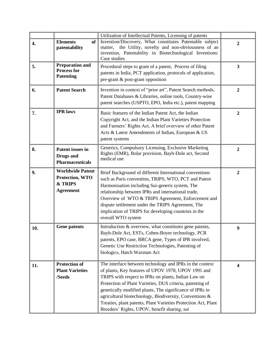|     |                                                                                  | Utilization of Intellectual Patents, Licensing of patents                                                                                                                                                                                                                                                                                                                                                                                                                    |                         |
|-----|----------------------------------------------------------------------------------|------------------------------------------------------------------------------------------------------------------------------------------------------------------------------------------------------------------------------------------------------------------------------------------------------------------------------------------------------------------------------------------------------------------------------------------------------------------------------|-------------------------|
| 4.  | <b>Elements</b><br>of<br>patentability                                           | Invention/Discovery, What constitutes Patentable subject<br>the Utility, novelty and non-obviousness of an<br>matter,<br>invention, Patentability in Biotechnological Inventions:<br>Case studies                                                                                                                                                                                                                                                                            | $\overline{2}$          |
| 5.  | <b>Preparation and</b><br><b>Process for</b><br><b>Patenting</b>                 | Procedural steps to grant of a patent, Process of filing<br>patents in India, PCT application, protocols of application,<br>pre-grant & post-grant opposition                                                                                                                                                                                                                                                                                                                | $\overline{\mathbf{3}}$ |
| 6.  | <b>Patent Search</b>                                                             | Invention in context of "prior art", Patent Search methods,<br>Patent Databases & Libraries, online tools, Country-wise<br>patent searches (USPTO, EPO, India etc.), patent mapping                                                                                                                                                                                                                                                                                          | $\overline{2}$          |
| 7.  | <b>IPR</b> laws                                                                  | Basic features of the Indian Patent Act, the Indian<br>Copyright Act, and the Indian Plant Varieties Protection<br>and Farmers' Rights Act, A brief overview of other Patent<br>Acts & Latest Amendments of Indian, European & US<br>patent systems                                                                                                                                                                                                                          | $\overline{2}$          |
| 8.  | Patent issues in<br><b>Drugs</b> and<br><b>Pharmaceuticals</b>                   | Generics, Compulsory Licensing, Exclusive Marketing<br>Rights (EMR), Bolar provision, Bayh-Dole act, Second<br>medical use                                                                                                                                                                                                                                                                                                                                                   | $\boldsymbol{2}$        |
| 9.  | <b>Worldwide Patent</b><br><b>Protection, WTO</b><br>& TRIPS<br><b>Agreement</b> | Brief Background of different International conventions<br>such as Paris convention, TRIPS, WTO, PCT and Patent<br>Harmonisation including Sui-generis system, The<br>relationship between IPRs and international trade,<br>Overview of WTO & TRIPS Agreement, Enforcement and<br>dispute settlement under the TRIPS Agreement, The<br>implication of TRIPS for developing countries in the<br>overall WTO system                                                            | $\overline{2}$          |
| 10. | <b>Gene patents</b>                                                              | Introduction & overview, what constitutes gene patents,<br>Bayh-Dole Act, ESTs, Cohen-Boyer technology, PCR<br>patents, EPO case, BRCA gene, Types of IPR involved,<br>Genetic Use Restriction Technologies, Patenting of<br>biologics, Hatch Waxman Act                                                                                                                                                                                                                     | 9                       |
| 11. | <b>Protection of</b><br><b>Plant Varieties</b><br>/Seeds                         | The interface between technology and IPRs in the context<br>of plants, Key features of UPOV 1978, UPOV 1991 and<br>TRIPS with respect to IPRs on plants, Indian Law on<br>Protection of Plant Varieties, DUS criteria, patenting of<br>genetically modified plants, The significance of IPRs in<br>agricultural biotechnology, Biodiversity, Conventions &<br>Treaties, plant patents, Plant Varieties Protection Act, Plant<br>Breeders' Rights, UPOV, benefit sharing, sui | $\overline{\mathbf{4}}$ |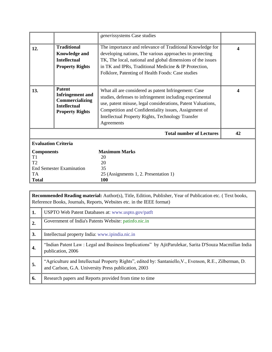|                                 |                                                                                                              | generissystems Case studies                                                                                                                                                                                                                                                                                  |    |
|---------------------------------|--------------------------------------------------------------------------------------------------------------|--------------------------------------------------------------------------------------------------------------------------------------------------------------------------------------------------------------------------------------------------------------------------------------------------------------|----|
| 12.                             | <b>Traditional</b><br><b>Knowledge and</b><br><b>Intellectual</b><br><b>Property Rights</b>                  | The importance and relevance of Traditional Knowledge for<br>developing nations, The various approaches to protecting<br>TK, The local, national and global dimensions of the issues<br>in TK and IPRs, Traditional Medicine & IP Protection,<br>Folklore, Patenting of Health Foods: Case studies           | 4  |
| 13.                             | <b>Patent</b><br><b>Infringement</b> and<br>Commercializing<br><b>Intellectual</b><br><b>Property Rights</b> | What all are considered as patent Infringement: Case<br>studies, defenses to infringement including experimental<br>use, patent misuse, legal considerations, Patent Valuations,<br>Competition and Confidentiality issues, Assignment of<br>Intellectual Property Rights, Technology Transfer<br>Agreements | 4  |
|                                 |                                                                                                              | <b>Total number of Lectures</b>                                                                                                                                                                                                                                                                              | 42 |
| <b>Evaluation Criteria</b>      |                                                                                                              |                                                                                                                                                                                                                                                                                                              |    |
| <b>Components</b>               |                                                                                                              | <b>Maximum Marks</b>                                                                                                                                                                                                                                                                                         |    |
| T1<br>T2                        |                                                                                                              | 20<br>20                                                                                                                                                                                                                                                                                                     |    |
| <b>End Semester Examination</b> |                                                                                                              | 35                                                                                                                                                                                                                                                                                                           |    |
| TA                              |                                                                                                              | 25 (Assignments 1, 2. Presentation 1)                                                                                                                                                                                                                                                                        |    |
| <b>Total</b>                    |                                                                                                              | 100                                                                                                                                                                                                                                                                                                          |    |

|    | <b>Recommended Reading material:</b> Author(s), Title, Edition, Publisher, Year of Publication etc. (Text books,<br>Reference Books, Journals, Reports, Websites etc. in the IEEE format) |  |  |  |
|----|-------------------------------------------------------------------------------------------------------------------------------------------------------------------------------------------|--|--|--|
| 1. | USPTO Web Patent Databases at: www.uspto.gov/patft                                                                                                                                        |  |  |  |
| 2. | Government of India's Patents Website: patinfo.nic.in                                                                                                                                     |  |  |  |
| 3. | Intellectual property India: www.ipindia.nic.in                                                                                                                                           |  |  |  |
| 4. | "Indian Patent Law: Legal and Business Implications" by AjitParulekar, Sarita D'Souza Macmillan India<br>publication, 2006                                                                |  |  |  |
| 5. | "Agriculture and Intellectual Property Rights", edited by: Santaniello, V., Evenson, R.E., Zilberman, D.<br>and Carlson, G.A. University Press publication, 2003                          |  |  |  |
| 6. | Research papers and Reports provided from time to time                                                                                                                                    |  |  |  |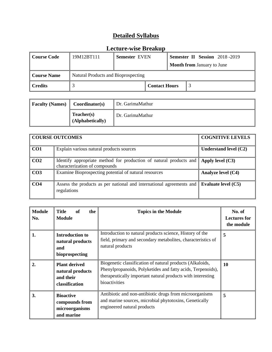| Course Code | 19M12BT111                          | <b>Semester EVEN</b> |                      |  | <b>Semester II Session</b> 2018-2019 |
|-------------|-------------------------------------|----------------------|----------------------|--|--------------------------------------|
|             |                                     |                      |                      |  | <b>Month from January to June</b>    |
| Course Name | Natural Products and Bioprospecting |                      |                      |  |                                      |
| ∥ Credits   |                                     |                      | <b>Contact Hours</b> |  |                                      |

| <b>Faculty (Names)</b> | Coordinator(s)                        | Dr. GarimaMathur |
|------------------------|---------------------------------------|------------------|
|                        | <b>Teacher(s)</b><br>(Alphabetically) | Dr. GarimaMathur |

|                 | <b>COURSE OUTCOMES</b>                                                                              | <b>COGNITIVE LEVELS</b> |
|-----------------|-----------------------------------------------------------------------------------------------------|-------------------------|
| CO1             | Explain various natural products sources                                                            | Understand level (C2)   |
| CO <sub>2</sub> | Identify appropriate method for production of natural products and<br>characterization of compounds | Apply level $(C3)$      |
| CO <sub>3</sub> | Examine Bioprospecting potential of natural resources                                               | Analyze level (C4)      |
| CO <sub>4</sub> | Assess the products as per national and international agreements and<br>regulations                 | Evaluate level (C5)     |

| <b>Module</b><br>No. | <b>Title</b><br>the<br>of<br><b>Module</b>                              | <b>Topics in the Module</b>                                                                                                                                                                              | No. of<br><b>Lectures for</b><br>the module |
|----------------------|-------------------------------------------------------------------------|----------------------------------------------------------------------------------------------------------------------------------------------------------------------------------------------------------|---------------------------------------------|
| 1.                   | <b>Introduction to</b><br>natural products<br>and<br>bioprospecting     | Introduction to natural products science, History of the<br>field, primary and secondary metabolites, characteristics of<br>natural products                                                             | 5                                           |
| $\overline{2}$ .     | <b>Plant derived</b><br>natural products<br>and their<br>classification | Biogenetic classification of natural products (Alkaloids,<br>Phenylpropanoids, Polyketides and fatty acids, Terpenoids),<br>therapeutically important natural products with interesting<br>bioactivities | <b>10</b>                                   |
| 3.                   | <b>Bioactive</b><br>compounds from<br>microorganisms<br>and marine      | Antibiotic and non-antibiotic drugs from microorganisms<br>and marine sources, microbial phytotoxins, Genetically<br>engineered natural products                                                         | 5                                           |